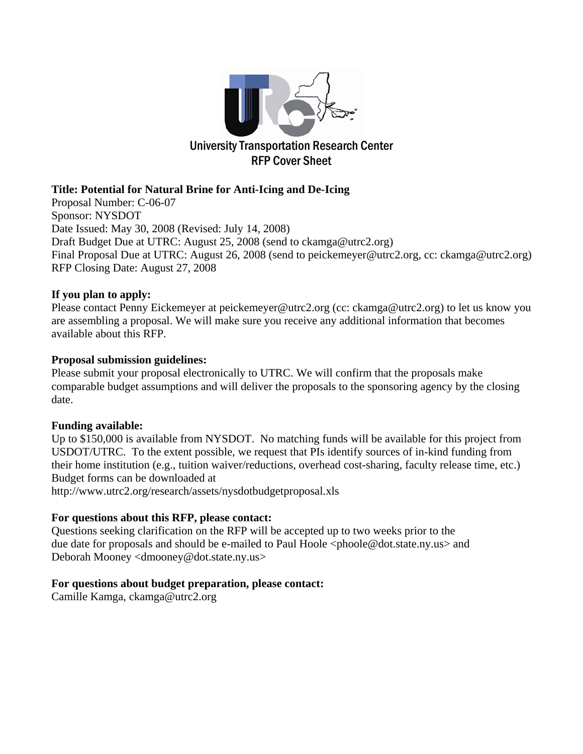

# **Title: Potential for Natural Brine for Anti-Icing and De-Icing**

Proposal Number: C-06-07 Sponsor: NYSDOT Date Issued: May 30, 2008 (Revised: July 14, 2008) Draft Budget Due at UTRC: August 25, 2008 (send to ckamga@utrc2.org) Final Proposal Due at UTRC: August 26, 2008 (send to peickemeyer@utrc2.org, cc: ckamga@utrc2.org) RFP Closing Date: August 27, 2008

## **If you plan to apply:**

Please contact Penny Eickemeyer at peickemeyer@utrc2.org (cc: ckamga@utrc2.org) to let us know you are assembling a proposal. We will make sure you receive any additional information that becomes available about this RFP.

## **Proposal submission guidelines:**

Please submit your proposal electronically to UTRC. We will confirm that the proposals make comparable budget assumptions and will deliver the proposals to the sponsoring agency by the closing date.

# **Funding available:**

Up to \$150,000 is available from NYSDOT. No matching funds will be available for this project from USDOT/UTRC. To the extent possible, we request that PIs identify sources of in-kind funding from their home institution (e.g., tuition waiver/reductions, overhead cost-sharing, faculty release time, etc.) Budget forms can be downloaded at

http://www.utrc2.org/research/assets/nysdotbudgetproposal.xls

# **For questions about this RFP, please contact:**

Questions seeking clarification on the RFP will be accepted up to two weeks prior to the due date for proposals and should be e-mailed to Paul Hoole <phoole@dot.state.ny.us> and Deborah Mooney <dmooney@dot.state.ny.us>

# **For questions about budget preparation, please contact:**

Camille Kamga, ckamga@utrc2.org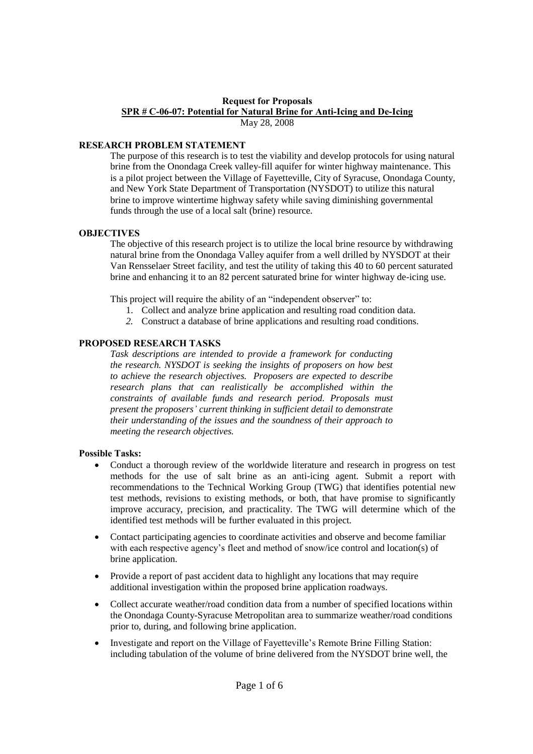#### **Request for Proposals SPR # C-06-07: Potential for Natural Brine for Anti-Icing and De-Icing** May 28, 2008

#### **RESEARCH PROBLEM STATEMENT**

The purpose of this research is to test the viability and develop protocols for using natural brine from the Onondaga Creek valley-fill aquifer for winter highway maintenance. This is a pilot project between the Village of Fayetteville, City of Syracuse, Onondaga County, and New York State Department of Transportation (NYSDOT) to utilize this natural brine to improve wintertime highway safety while saving diminishing governmental funds through the use of a local salt (brine) resource.

### **OBJECTIVES**

The objective of this research project is to utilize the local brine resource by withdrawing natural brine from the Onondaga Valley aquifer from a well drilled by NYSDOT at their Van Rensselaer Street facility, and test the utility of taking this 40 to 60 percent saturated brine and enhancing it to an 82 percent saturated brine for winter highway de-icing use.

This project will require the ability of an "independent observer" to:

- 1. Collect and analyze brine application and resulting road condition data.
- *2.* Construct a database of brine applications and resulting road conditions.

## **PROPOSED RESEARCH TASKS**

*Task descriptions are intended to provide a framework for conducting the research. NYSDOT is seeking the insights of proposers on how best to achieve the research objectives. Proposers are expected to describe research plans that can realistically be accomplished within the constraints of available funds and research period. Proposals must present the proposers'current thinking in sufficient detail to demonstrate their understanding of the issues and the soundness of their approach to meeting the research objectives.*

#### **Possible Tasks:**

- Conduct a thorough review of the worldwide literature and research in progress on test methods for the use of salt brine as an anti-icing agent. Submit a report with recommendations to the Technical Working Group (TWG) that identifies potential new test methods, revisions to existing methods, or both, that have promise to significantly improve accuracy, precision, and practicality. The TWG will determine which of the identified test methods will be further evaluated in this project.
- Contact participating agencies to coordinate activities and observe and become familiar with each respective agency's fleet and method of snow/ice control and location(s) of brine application.
- Provide a report of past accident data to highlight any locations that may require additional investigation within the proposed brine application roadways.
- Collect accurate weather/road condition data from a number of specified locations within the Onondaga County-Syracuse Metropolitan area to summarize weather/road conditions prior to, during, and following brine application.
- Investigate and report on the Village of Fayetteville's Remote Brine Filling Station: including tabulation of the volume of brine delivered from the NYSDOT brine well, the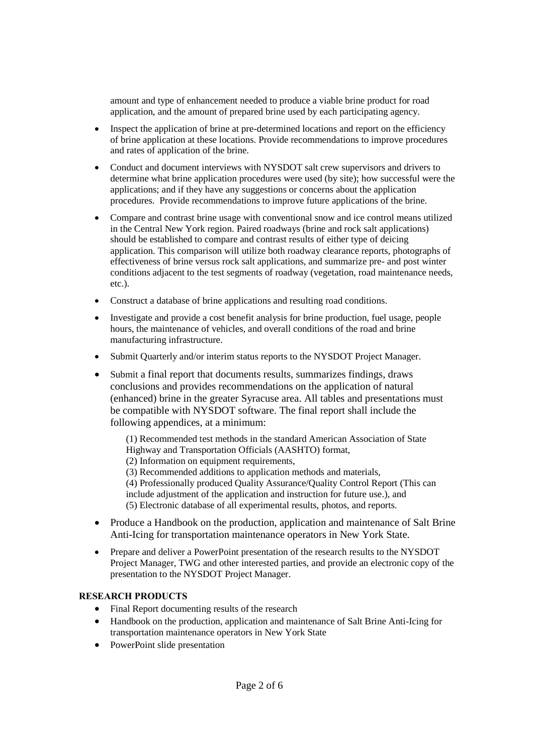amount and type of enhancement needed to produce a viable brine product for road application, and the amount of prepared brine used by each participating agency.

- Inspect the application of brine at pre-determined locations and report on the efficiency of brine application at these locations. Provide recommendations to improve procedures and rates of application of the brine.
- Conduct and document interviews with NYSDOT salt crew supervisors and drivers to determine what brine application procedures were used (by site); how successful were the applications; and if they have any suggestions or concerns about the application procedures. Provide recommendations to improve future applications of the brine.
- Compare and contrast brine usage with conventional snow and ice control means utilized in the Central New York region. Paired roadways (brine and rock salt applications) should be established to compare and contrast results of either type of deicing application. This comparison will utilize both roadway clearance reports, photographs of effectiveness of brine versus rock salt applications, and summarize pre- and post winter conditions adjacent to the test segments of roadway (vegetation, road maintenance needs, etc.).
- Construct a database of brine applications and resulting road conditions.
- Investigate and provide a cost benefit analysis for brine production, fuel usage, people hours, the maintenance of vehicles, and overall conditions of the road and brine manufacturing infrastructure.
- Submit Quarterly and/or interim status reports to the NYSDOT Project Manager.
- Submit a final report that documents results, summarizes findings, draws conclusions and provides recommendations on the application of natural (enhanced) brine in the greater Syracuse area. All tables and presentations must be compatible with NYSDOT software. The final report shall include the following appendices, at a minimum:

(1) Recommended test methods in the standard American Association of State Highway and Transportation Officials (AASHTO) format,

(2) Information on equipment requirements,

(3) Recommended additions to application methods and materials,

(4) Professionally produced Quality Assurance/Quality Control Report (This can include adjustment of the application and instruction for future use.), and (5) Electronic database of all experimental results, photos, and reports.

- Produce a Handbook on the production, application and maintenance of Salt Brine Anti-Icing for transportation maintenance operators in New York State.
- Prepare and deliver a PowerPoint presentation of the research results to the NYSDOT Project Manager, TWG and other interested parties, and provide an electronic copy of the presentation to the NYSDOT Project Manager.

## **RESEARCH PRODUCTS**

- Final Report documenting results of the research
- Handbook on the production, application and maintenance of Salt Brine Anti-Icing for transportation maintenance operators in New York State
- PowerPoint slide presentation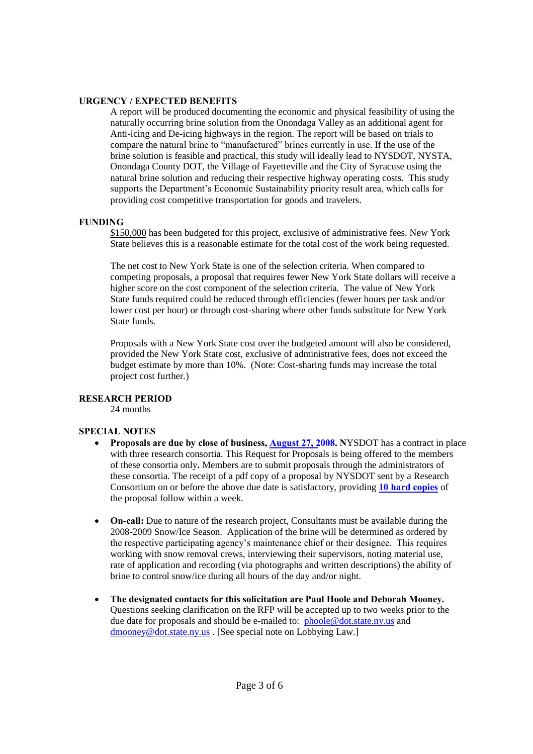#### **URGENCY / EXPECTED BENEFITS**

A report will be produced documenting the economic and physical feasibility of using the naturally occurring brine solution from the Onondaga Valley as an additional agent for Anti-icing and De-icing highways in the region. The report will be based on trials to compare the natural brine to "manufactured" brines currently in use. If the use of the brine solution is feasible and practical, this study will ideally lead to NYSDOT, NYSTA, Onondaga County DOT, the Village of Fayetteville and the City of Syracuse using the natural brine solution and reducing their respective highway operating costs. This study supports the Department's Economic Sustainability priority result area, which calls for providing cost competitive transportation for goods and travelers.

### **FUNDING**

\$150,000 has been budgeted for this project, exclusive of administrative fees. New York State believes this is a reasonable estimate for the total cost of the work being requested.

The net cost to New York State is one of the selection criteria. When compared to competing proposals, a proposal that requires fewer New York State dollars will receive a higher score on the cost component of the selection criteria. The value of New York State funds required could be reduced through efficiencies (fewer hours per task and/or lower cost per hour) or through cost-sharing where other funds substitute for New York State funds.

Proposals with a New York State cost over the budgeted amount will also be considered, provided the New York State cost, exclusive of administrative fees, does not exceed the budget estimate by more than 10%. (Note: Cost-sharing funds may increase the total project cost further.)

#### **RESEARCH PERIOD**

24 months

#### **SPECIAL NOTES**

- **Proposals are due by close of business, August 27, 2008. N**YSDOT has a contract in place with three research consortia. This Request for Proposals is being offered to the members of these consortia only**.** Members are to submit proposals through the administrators of these consortia. The receipt of a pdf copy of a proposal by NYSDOT sent by a Research Consortium on or before the above due date is satisfactory, providing **10 hard copies** of the proposal follow within a week.
- **On-call:** Due to nature of the research project, Consultants must be available during the 2008-2009 Snow/Ice Season. Application of the brine will be determined as ordered by the respective participating agency's maintenance chief or their designee. This requires working with snow removal crews, interviewing their supervisors, noting material use, rate of application and recording (via photographs and written descriptions) the ability of brine to control snow/ice during all hours of the day and/or night.
- **The designated contacts for this solicitation are Paul Hoole and Deborah Mooney.** Questions seeking clarification on the RFP will be accepted up to two weeks prior to the due date for proposals and should be e-mailed to: phoole@dot.state.ny.us and dmooney@dot.state.ny.us . [See special note on Lobbying Law.]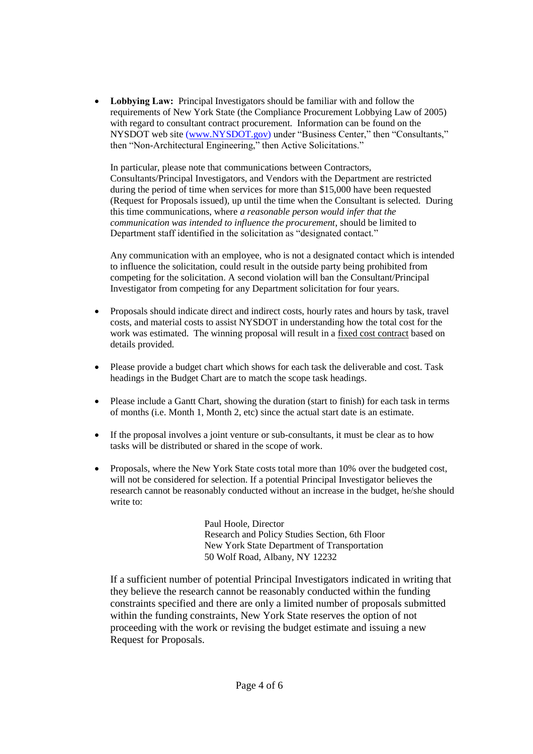**Lobbying Law:** Principal Investigators should be familiar with and follow the requirements of New York State (the Compliance Procurement Lobbying Law of 2005) with regard to consultant contract procurement. Information can be found on the NYSDOT web site (www.NYSDOT.gov) under "Business Center," then "Consultants," then "Non-Architectural Engineering," then Active Solicitations."

In particular, please note that communications between Contractors, Consultants/Principal Investigators, and Vendors with the Department are restricted during the period of time when services for more than \$15,000 have been requested (Request for Proposals issued), up until the time when the Consultant is selected. During this time communications, where *a reasonable person would infer that the communication was intended to influence the procurement*, should be limited to Department staff identified in the solicitation as "designated contact."

Any communication with an employee, who is not a designated contact which is intended to influence the solicitation, could result in the outside party being prohibited from competing for the solicitation. A second violation will ban the Consultant/Principal Investigator from competing for any Department solicitation for four years.

- Proposals should indicate direct and indirect costs, hourly rates and hours by task, travel costs, and material costs to assist NYSDOT in understanding how the total cost for the work was estimated. The winning proposal will result in a fixed cost contract based on details provided.
- Please provide a budget chart which shows for each task the deliverable and cost. Task headings in the Budget Chart are to match the scope task headings.
- Please include a Gantt Chart, showing the duration (start to finish) for each task in terms of months (i.e. Month 1, Month 2, etc) since the actual start date is an estimate.
- If the proposal involves a joint venture or sub-consultants, it must be clear as to how tasks will be distributed or shared in the scope of work.
- Proposals, where the New York State costs total more than 10% over the budgeted cost, will not be considered for selection. If a potential Principal Investigator believes the research cannot be reasonably conducted without an increase in the budget, he/she should write to:

Paul Hoole, Director Research and Policy Studies Section, 6th Floor New York State Department of Transportation 50 Wolf Road, Albany, NY 12232

If a sufficient number of potential Principal Investigators indicated in writing that they believe the research cannot be reasonably conducted within the funding constraints specified and there are only a limited number of proposals submitted within the funding constraints, New York State reserves the option of not proceeding with the work or revising the budget estimate and issuing a new Request for Proposals.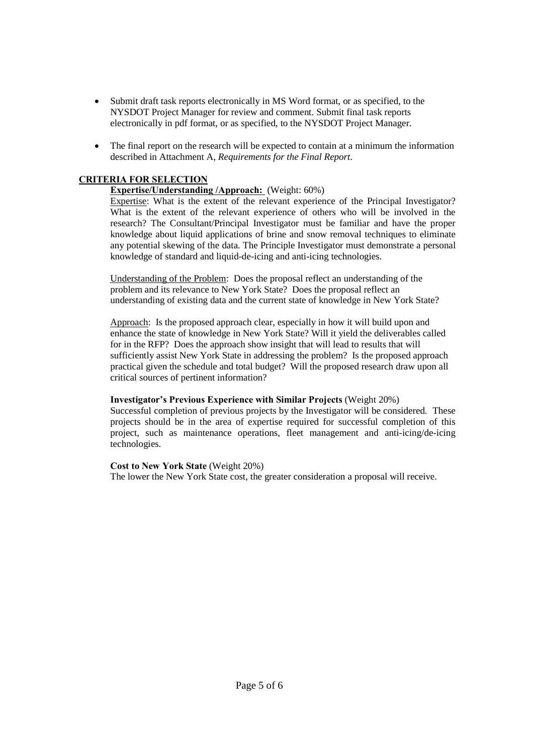- Submit draft task reports electronically in MS Word format, or as specified, to the NYSDOT Project Manager for review and comment. Submit final task reports electronically in pdf format, or as specified, to the NYSDOT Project Manager.
- The final report on the research will be expected to contain at a minimum the information described in Attachment A, *Requirements for the Final Report*.

### **CRITERIA FOR SELECTION**

### **Expertise/Understanding /Approach:** (Weight: 60%)

Expertise: What is the extent of the relevant experience of the Principal Investigator? What is the extent of the relevant experience of others who will be involved in the research? The Consultant/Principal Investigator must be familiar and have the proper knowledge about liquid applications of brine and snow removal techniques to eliminate any potential skewing of the data. The Principle Investigator must demonstrate a personal knowledge of standard and liquid-de-icing and anti-icing technologies.

Understanding of the Problem: Does the proposal reflect an understanding of the problem and its relevance to New York State? Does the proposal reflect an understanding of existing data and the current state of knowledge in New York State?

Approach: Is the proposed approach clear, especially in how it will build upon and enhance the state of knowledge in New York State? Will it yield the deliverables called for in the RFP? Does the approach show insight that will lead to results that will sufficiently assist New York State in addressing the problem? Is the proposed approach practical given the schedule and total budget? Will the proposed research draw upon all critical sources of pertinent information?

#### **Investigator's Previous Experience with Similar Projects** (Weight 20%)

Successful completion of previous projects by the Investigator will be considered. These projects should be in the area of expertise required for successful completion of this project, such as maintenance operations, fleet management and anti-icing/de-icing technologies.

#### **Cost to New York State** (Weight 20%)

The lower the New York State cost, the greater consideration a proposal will receive.